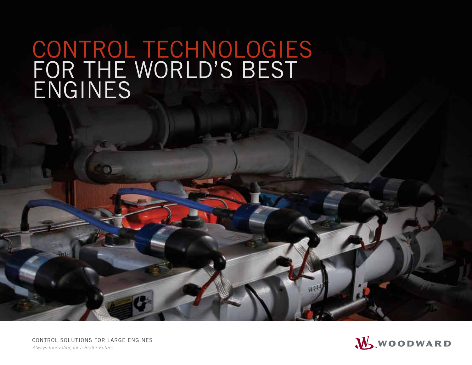# CONTROL TECHNOLOGIES FOR THE WORLD'S BEST ENGINES

CONTROL SOLUTIONS FOR LARGE ENGINES *Always Innovating for a Better Future*

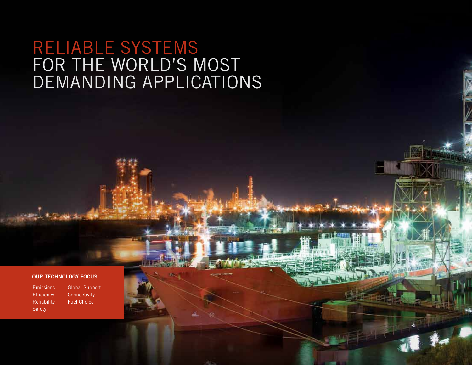## RELIABLE SYSTEMS FOR THE WORLD'S MOST DEMANDING APPLICATIONS

#### OUR TECHNOLOGY FOCUS

Emissions **Efficiency** Reliability Safety

Global Support **Connectivity** Fuel Choice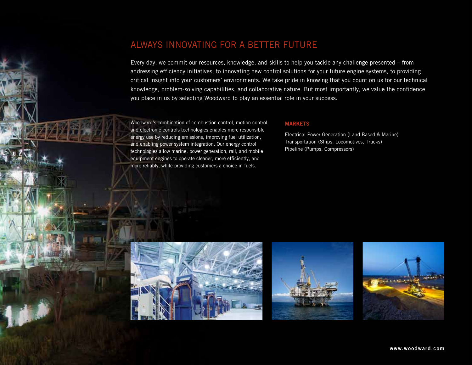## ALWAYS INNOVATING FOR A BETTER FUTURE

Every day, we commit our resources, knowledge, and skills to help you tackle any challenge presented – from addressing efficiency initiatives, to innovating new control solutions for your future engine systems, to providing critical insight into your customers' environments. We take pride in knowing that you count on us for our technical knowledge, problem-solving capabilities, and collaborative nature. But most importantly, we value the confidence you place in us by selecting Woodward to play an essential role in your success.

Woodward's combination of combustion control, motion control, and electronic controls technologies enables more responsible energy use by reducing emissions, improving fuel utilization, and enabling power system integration. Our energy control technologies allow marine, power generation, rail, and mobile equipment engines to operate cleaner, more efficiently, and more reliably, while providing customers a choice in fuels.

## MARKETS

Electrical Power Generation (Land Based & Marine) Transportation (Ships, Locomotives, Trucks) Pipeline (Pumps, Compressors)





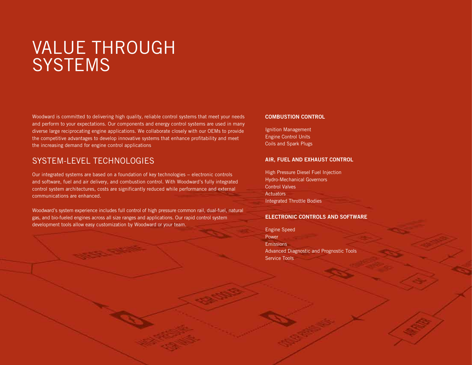## VALUE THROUGH **SYSTEMS**

Woodward is committed to delivering high quality, reliable control systems that meet your needs and perform to your expectations. Our components and energy control systems are used in many diverse large reciprocating engine applications. We collaborate closely with our OEMs to provide the competitive advantages to develop innovative systems that enhance profitability and meet the increasing demand for engine control applications.

## SYSTEM-LEVEL TECHNOLOGIES

Our integrated systems are based on a foundation of key technologies − electronic controls and software, fuel and air delivery, and combustion control. With Woodward's fully integrated control system architectures, costs are significantly reduced while performance and external communications are enhanced.

Woodward's system experience includes full control of high pressure common rail, dual-fuel, natural gas, and bio-fueled engines across all size ranges and applications. Our rapid control system development tools allow easy customization by Woodward or your team.

#### COMBUSTION CONTROL

Ignition Management Engine Control Units Coils and Spark Plugs

#### AIR, FUEL AND EXHAUST CONTROL

High Pressure Diesel Fuel Injection Hydro-Mechanical Governors Control Valves **Actuators** Integrated Throttle Bodies

#### ELECTRONIC CONTROLS AND SOFTWARE

Engine Speed Power Emissions Advanced Diagnostic and Prognostic Tools Service Tools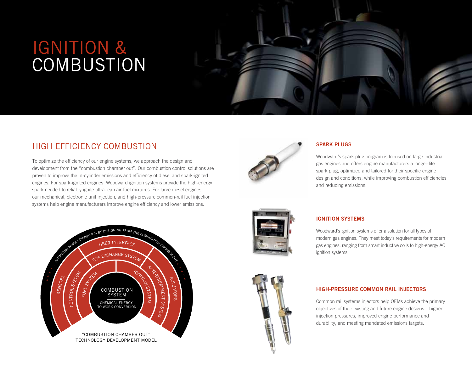# IGNITION & **COMBUSTION**



## HIGH EFFICIENCY COMBUSTION

To optimize the efficiency of our engine systems, we approach the design and development from the "combustion chamber out". Our combustion control solutions are proven to improve the in-cylinder emissions and efficiency of diesel and spark-ignited engines. For spark-ignited engines, Woodward ignition systems provide the high-energy spark needed to reliably ignite ultra-lean air-fuel mixtures. For large diesel engines, our mechanical, electronic unit injection, and high-pressure common-rail fuel injection systems help engine manufacturers improve engine efficiency and lower emissions.





## SPARK PLUGS

Woodward's spark plug program is focused on large industrial gas engines and offers engine manufacturers a longer-life spark plug, optimized and tailored for their specific engine design and conditions, while improving combustion efficiencies and reducing emissions.



## IGNITION SYSTEMS

Woodward's ignition systems offer a solution for all types of modern gas engines. They meet today's requirements for modern gas engines, ranging from smart inductive coils to high-energy AC ignition systems.



### HIGH-PRESSURE COMMON RAIL INJECTORS

Common rail systems injectors help OEMs achieve the primary objectives of their existing and future engine designs – higher injection pressures, improved engine performance and durability, and meeting mandated emissions targets.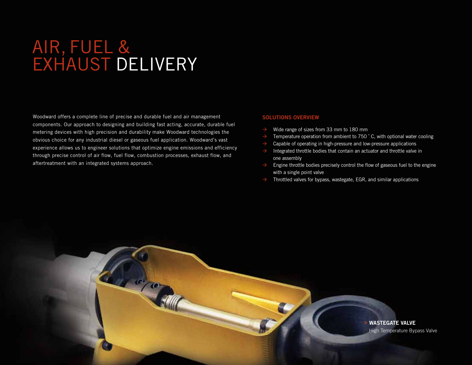## IVEDV RECIPROCATING ENGINES AIR, FUEL & EXHAUST DELIVERY

Woodward offers a complete line of precise and durable fuel and air management components. Our approach to designing and building fast acting, accurate, durable fuel metering devices with high precision and durability make Woodward technologies the obvious choice for any industrial diesel or gaseous fuel application. Woodward's vast experience allows us to engineer solutions that optimize engine emissions and efficiency through precise control of air flow, fuel flow, combustion processes, exhaust flow, and aftertreatment with an integrated systems approach.

#### SOLUTIONS OVERVIEW

- Wide range of sizes from 33 mm to 180 mm
- Temperature operation from ambient to 750 °C, with optional water cooling
- Capable of operating in high-pressure and low-pressure applications
- Integrated throttle bodies that contain an actuator and throttle valve in one assembly
- Engine throttle bodies precisely control the flow of gaseous fuel to the engine with a single point valve
- Throttled valves for bypass, wastegate, EGR, and similar applications

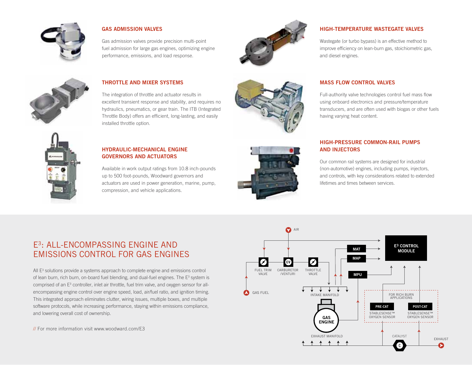

## GAS ADMISSION VALVES

Gas admission valves provide precision multi-point fuel admission for large gas engines, optimizing engine performance, emissions, and load response.



## HIGH-TEMPERATURE WASTEGATE VALVES

Wastegate (or turbo bypass) is an effective method to improve efficiency on lean-burn gas, stoichiometric gas, and diesel engines.

Full-authority valve technologies control fuel mass flow using onboard electronics and pressure/temperature



## THROTTLE AND MIXER SYSTEMS

The integration of throttle and actuator results in excellent transient response and stability, and requires no hydraulics, pneumatics, or gear train. The ITB (Integrated Throttle Body) offers an efficient, long-lasting, and easily installed throttle option.



### transducers, and are often used with biogas or other fuels having varying heat content.

MASS FLOW CONTROL VALVES



## HYDRAULIC-MECHANICAL ENGINE GOVERNORS AND ACTUATORS

Available in work output ratings from 10.8 inch-pounds up to 500 foot-pounds, Woodward governors and actuators are used in power generation, marine, pump, compression, and vehicle applications.



## HIGH-PRESSURE COMMON-RAIL PUMPS AND INJECTORS

Our common rail systems are designed for industrial (non-automotive) engines, including pumps, injectors, and controls, with key considerations related to extended lifetimes and times between services.

## E3: ALL-ENCOMPASSING ENGINE AND EMISSIONS CONTROL FOR GAS ENGINES

All E3 solutions provide a systems approach to complete engine and emissions control of lean burn, rich burn, on-board fuel blending, and dual-fuel engines. The E<sup>3</sup> system is comprised of an E<sup>3</sup> controller, inlet air throttle, fuel trim valve, and oxygen sensor for allencompassing engine control over engine speed, load, air/fuel ratio, and ignition timing. This integrated approach eliminates clutter, wiring issues, multiple boxes, and multiple software protocols, while increasing performance, staying within emissions compliance, and lowering overall cost of ownership.

// For more information visit www.woodward.com/E3

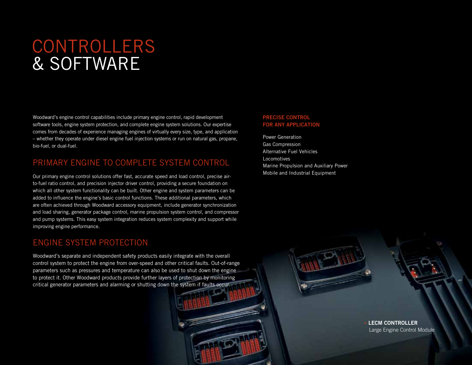# CONTROLLERS & SOFTWARE

Woodward's engine control capabilities include primary engine control, rapid development software tools, engine system protection, and complete engine system solutions. Our expertise comes from decades of experience managing engines of virtually every size, type, and application – whether they operate under diesel engine fuel injection systems or run on natural gas, propane, bio-fuel, or dual-fuel.

## PRIMARY ENGINE TO COMPLETE SYSTEM CONTROL

Our primary engine control solutions offer fast, accurate speed and load control, precise airto-fuel ratio control, and precision injector driver control, providing a secure foundation on which all other system functionality can be built. Other engine and system parameters can be added to influence the engine's basic control functions. These additional parameters, which are often achieved through Woodward accessory equipment, include generator synchronization and load sharing, generator package control, marine propulsion system control, and compressor and pump systems. This easy system integration reduces system complexity and support while improving engine performance.

## ENGINE SYSTEM PROTECTION

Woodward's separate and independent safety products easily integrate with the overall control system to protect the engine from over-speed and other critical faults. Out-of-range parameters such as pressures and temperature can also be used to shut down the engine to protect it. Other Woodward products provide further layers of protection by monitoring critical generator parameters and alarming or shutting down the system if faults occur.

### PRECISE CONTROL FOR ANY APPLICATION

Power Generation Gas Compression Alternative Fuel Vehicles Locomotives Marine Propulsion and Auxiliary Power Mobile and Industrial Equipment

> **LECM CONTROLLER** Large Engine Control Module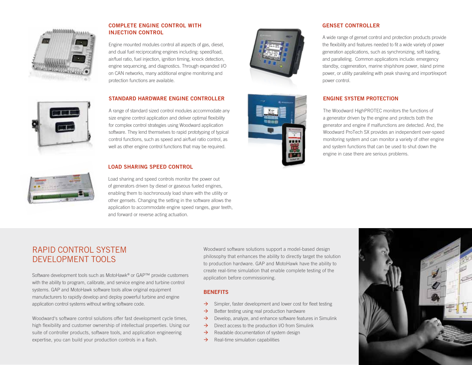

## COMPLETE ENGINE CONTROL WITH INJECTION CONTROL

Engine mounted modules control all aspects of gas, diesel, and dual fuel reciprocating engines including: speed/load, air/fuel ratio, fuel injection, ignition timing, knock detection, engine sequencing, and diagnostics. Through expanded I/O on CAN networks, many additional engine monitoring and protection functions are available.

## STANDARD HARDWARE ENGINE CONTROLLER

A range of standard sized control modules accommodate any size engine control application and deliver optimal flexibility for complex control strategies using Woodward application software. They lend themselves to rapid prototyping of typical control functions, such as speed and air/fuel ratio control, as well as other engine control functions that may be required.

## LOAD SHARING SPEED CONTROL

Load sharing and speed controls monitor the power out of generators driven by diesel or gaseous fueled engines, enabling them to isochronously load share with the utility or other gensets. Changing the setting in the software allows the application to accommodate engine speed ranges, gear teeth, and forward or reverse acting actuation.





### GENSET CONTROLLER

A wide range of genset control and protection products provide the flexibility and features needed to fit a wide variety of power generation applications, such as synchronizing, soft loading, and paralleling. Common applications include: emergency standby, cogeneration, marine ship/shore power, island prime power, or utility paralleling with peak shaving and import/export power control.

## ENGINE SYSTEM PROTECTION

The Woodward HighPROTEC monitors the functions of a generator driven by the engine and protects both the generator and engine if malfunctions are detected. And, the Woodward ProTech SX provides an independent over-speed monitoring system and can monitor a variety of other engine and system functions that can be used to shut down the engine in case there are serious problems.



## RAPID CONTROL SYSTEM DEVELOPMENT TOOLS

Software development tools such as MotoHawk® or GAP™ provide customers with the ability to program, calibrate, and service engine and turbine control systems. GAP and MotoHawk software tools allow original equipment manufacturers to rapidly develop and deploy powerful turbine and engine application control systems without writing software code.

Woodward's software control solutions offer fast development cycle times, high flexibility and customer ownership of intellectual properties. Using our suite of controller products, software tools, and application engineering expertise, you can build your production controls in a flash.

Woodward software solutions support a model-based design philosophy that enhances the ability to directly target the solution to production hardware. GAP and MotoHawk have the ability to create real-time simulation that enable complete testing of the application before commissioning.

## **BENEFITS**

- $\rightarrow$  Simpler, faster development and lower cost for fleet testing
- $\rightarrow$  Better testing using real production hardware
- $\rightarrow$  Develop, analyze, and enhance software features in Simulink
- $\rightarrow$  Direct access to the production I/O from Simulink
- $\rightarrow$  Readable documentation of system design
- $\rightarrow$  Real-time simulation capabilities

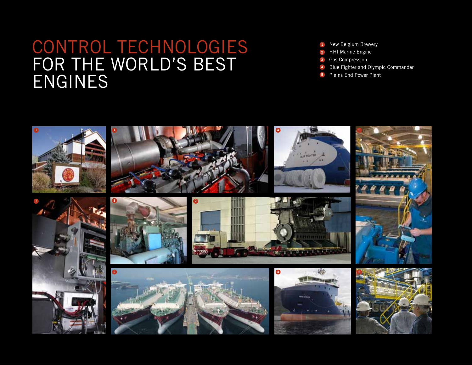## CONTROL TECHNOLOGIES FOR THE WORLD'S BEST ENGINES

- 1 New Belgium Brewery
- 2 HHI Marine Engine
- 3 Gas Compression
- Blue Fighter and Olympic Commander 4
- Plains End Power Plant 5

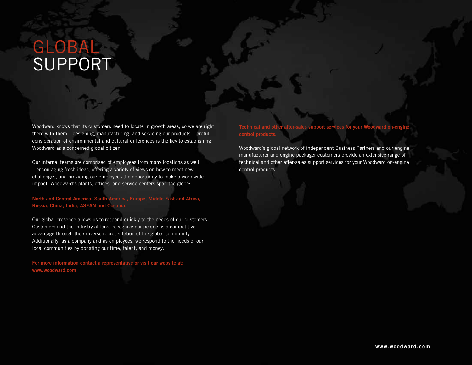# GLOBAL SUPPORT

Woodward knows that its customers need to locate in growth areas, so we are right there with them – designing, manufacturing, and servicing our products. Careful consideration of environmental and cultural differences is the key to establishing Woodward as a concerned global citizen.

Our internal teams are comprised of employees from many locations as well – encouraging fresh ideas, offering a variety of views on how to meet new challenges, and providing our employees the opportunity to make a worldwide impact. Woodward's plants, offices, and service centers span the globe:

North and Central America, South America, Europe, Middle East and Africa, Russia, China, India, ASEAN and Ocea

Our global presence allows us to respond quickly to the needs of our customers. Customers and the industry at large recognize our people as a competitive advantage through their diverse representation of the global community. Additionally, as a company and as employees, we respond to the needs of our local communities by donating our time, talent, and money.

For more information contact a representative or visit our website at: www.woodward.com

## Technical and other after-sales support services for your Woodward on-engine

Woodward's global network of independent Business Partners and our engine manufacturer and engine packager customers provide an extensive range of technical and other after-sales support services for your Woodward on-engine control products.